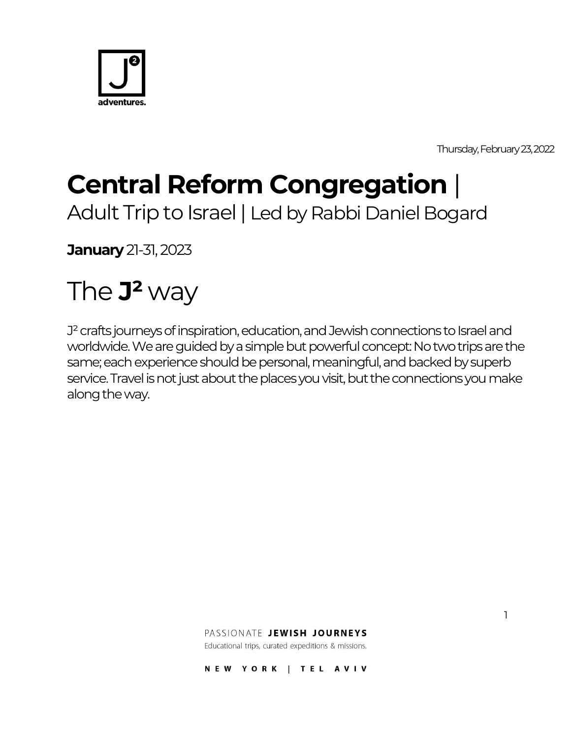

Thursday, February23, 2022

1

# **Central Reform Congregation** |

Adult Trip to Israel | Led by Rabbi Daniel Bogard

**January** 21-31, 2023

# The **J²** way

J<sup>2</sup> crafts journeys of inspiration, education, and Jewish connections to Israel and worldwide. We are guided by a simple but powerful concept: No two trips are the same; each experience should be personal, meaningful, and backed by superb service. Travel is not just about the places you visit, but the connections you make along the way.

PASSIONATE JEWISH JOURNEYS

Educational trips, curated expeditions & missions.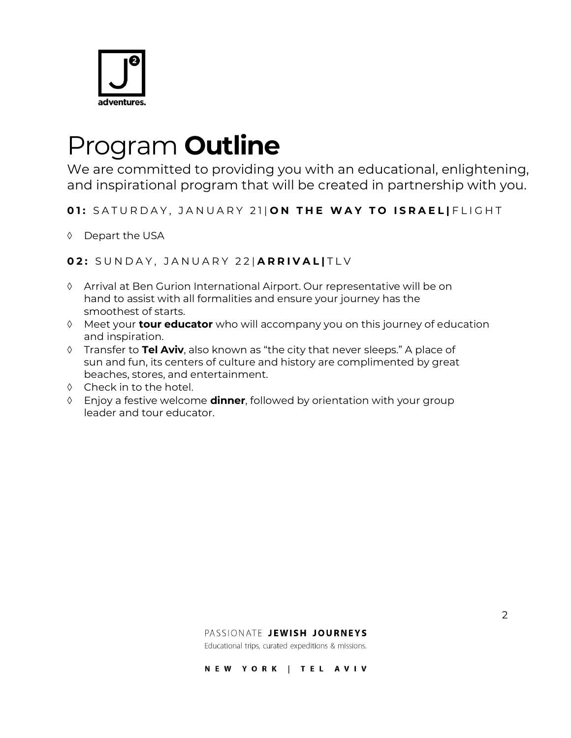

## Program **Outline**

We are committed to providing you with an educational, enlightening, and inspirational program that will be created in partnership with you.

**01:** SATURDAY, JANUARY 21| ON THE WAY TO ISRAEL | FLIGHT

Depart the USA

**0 2 :** S U N D A Y , J A N U A R Y 2 2 | **A R R I V A L |** T L V

- Arrival at Ben Gurion International Airport. Our representative will be on hand to assist with all formalities and ensure your journey has the smoothest of starts.
- Meet your **tour educator** who will accompany you on this journey of education and inspiration.
- Transfer to **Tel Aviv**, also known as "the city that never sleeps." A place of sun and fun, its centers of culture and history are complimented by great beaches, stores, and entertainment.
- $\Diamond$  Check in to the hotel.
- Enjoy a festive welcome **dinner**, followed by orientation with your group leader and tour educator.

#### PASSIONATE JEWISH JOURNEYS

Educational trips, curated expeditions & missions.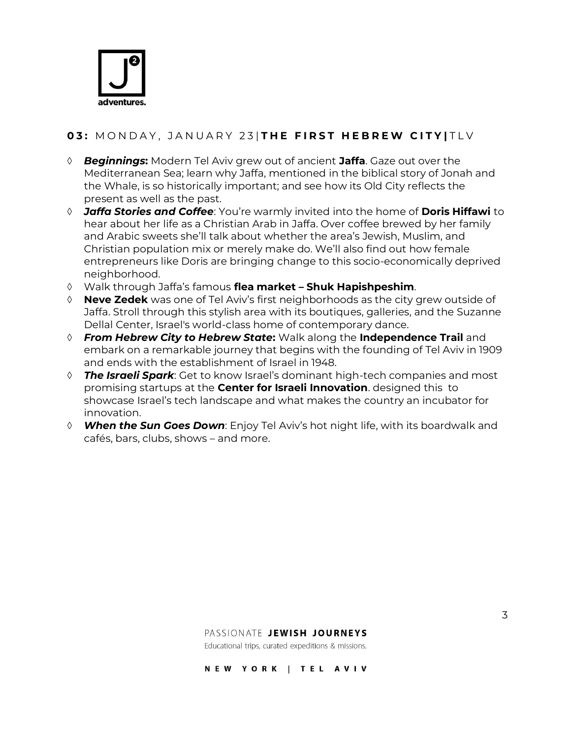

### **03: MONDAY, JANUARY 23 | THE FIRST HEBREW CITY | TLV**

- *Beginnings***:** Modern Tel Aviv grew out of ancient **Jaffa**. Gaze out over the Mediterranean Sea; learn why Jaffa, mentioned in the biblical story of Jonah and the Whale, is so historically important; and see how its Old City reflects the present as well as the past.
- *Jaffa Stories and Coffee*: You're warmly invited into the home of **Doris Hiffawi** to hear about her life as a Christian Arab in Jaffa. Over coffee brewed by her family and Arabic sweets she'll talk about whether the area's Jewish, Muslim, and Christian population mix or merely make do. We'll also find out how female entrepreneurs like Doris are bringing change to this socio-economically deprived neighborhood.
- Walk through Jaffa's famous **flea market – Shuk Hapishpeshim**.
- **Neve Zedek** was one of Tel Aviv's first neighborhoods as the city grew outside of Jaffa. Stroll through this stylish area with its boutiques, galleries, and the Suzanne Dellal Center, Israel's world-class home of contemporary dance.
- *From Hebrew City to Hebrew State***:** Walk along the **Independence Trail** and embark on a remarkable journey that begins with the founding of Tel Aviv in 1909 and ends with the establishment of Israel in 1948.
- *The Israeli Spark*: Get to know Israel's dominant high-tech companies and most promising startups at the **Center for Israeli Innovation**. designed this to showcase Israel's tech landscape and what makes the country an incubator for innovation.
- *When the Sun Goes Down*: Enjoy Tel Aviv's hot night life, with its boardwalk and cafés, bars, clubs, shows – and more.

#### PASSIONATE JEWISH JOURNEYS

Educational trips, curated expeditions & missions.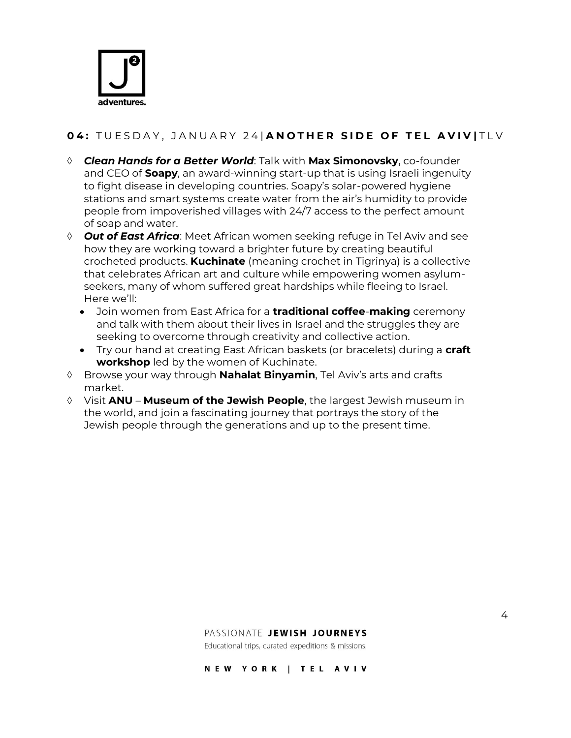

## **0 4 :** T U E S D A Y , J A N U A R Y 2 4 | **A N O T H E R S I D E O F T E L A V I V |** T L V

- *Clean Hands for a Better World*: Talk with **Max Simonovsky**, co-founder and CEO of **Soapy**, an award-winning start-up that is using Israeli ingenuity to fight disease in developing countries. Soapy's solar-powered hygiene stations and smart systems create water from the air's humidity to provide people from impoverished villages with 24/7 access to the perfect amount of soap and water.
- *Out of East Africa*: Meet African women seeking refuge in Tel Aviv and see how they are working toward a brighter future by creating beautiful crocheted products. **Kuchinate** (meaning crochet in Tigrinya) is a collective that celebrates African art and culture while empowering women asylumseekers, many of whom suffered great hardships while fleeing to Israel. Here we'll:
	- Join women from East Africa for a **traditional coffee**-**making** ceremony and talk with them about their lives in Israel and the struggles they are seeking to overcome through creativity and collective action.
	- Try our hand at creating East African baskets (or bracelets) during a **craft workshop** led by the women of Kuchinate.
- Browse your way through **Nahalat Binyamin**, Tel Aviv's arts and crafts market.
- Visit **ANU Museum of the Jewish People**, the largest Jewish museum in the world, and join a fascinating journey that portrays the story of the Jewish people through the generations and up to the present time.

#### PASSIONATE JEWISH JOURNEYS

Educational trips, curated expeditions & missions.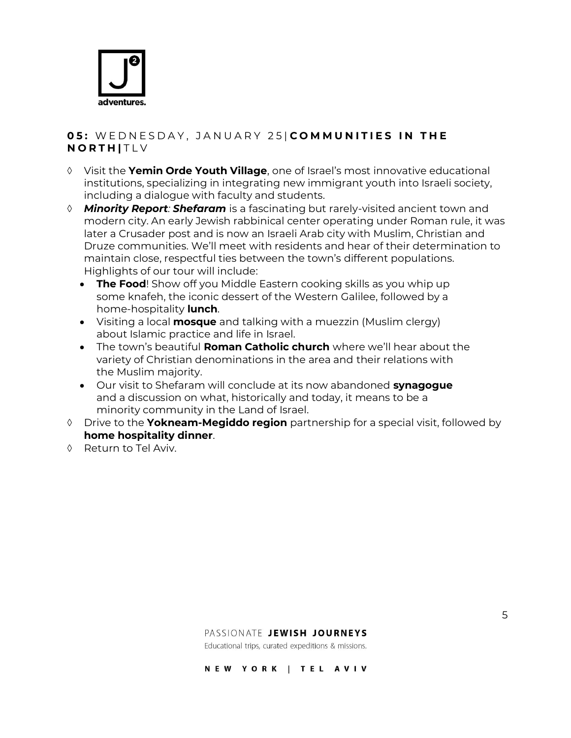

#### **0 5 :** W E D N E S D A Y , J A N U A R Y 2 5 | **C O M M U N I T I E S I N T H E N O R T H |** T L V

- Visit the **Yemin Orde Youth Village**, one of Israel's most innovative educational institutions, specializing in integrating new immigrant youth into Israeli society, including a dialogue with faculty and students.
- *Minority Report: Shefaram* is a fascinating but rarely-visited ancient town and modern city. An early Jewish rabbinical center operating under Roman rule, it was later a Crusader post and is now an Israeli Arab city with Muslim, Christian and Druze communities. We'll meet with residents and hear of their determination to maintain close, respectful ties between the town's different populations. Highlights of our tour will include:
	- **The Food**! Show off you Middle Eastern cooking skills as you whip up some knafeh, the iconic dessert of the Western Galilee, followed by a home-hospitality **lunch**.
	- Visiting a local **mosque** and talking with a muezzin (Muslim clergy) about Islamic practice and life in Israel.
	- The town's beautiful **Roman Catholic church** where we'll hear about the variety of Christian denominations in the area and their relations with the Muslim majority.
	- Our visit to Shefaram will conclude at its now abandoned **synagogue**  and a discussion on what, historically and today, it means to be a minority community in the Land of Israel.
- Drive to the **Yokneam-Megiddo region** partnership for a special visit, followed by **home hospitality dinner**.
- ♦ Return to Tel Aviv.

#### PASSIONATE JEWISH JOURNEYS

Educational trips, curated expeditions & missions.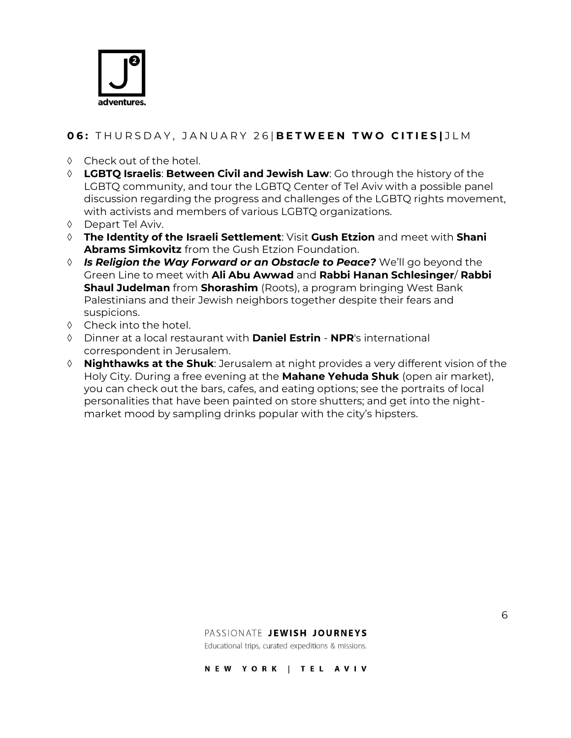

### **0 6 :** T H U R S D A Y , J A N U A R Y 2 6 | **B E T W E E N T W O C I T I E S |** J L M

- Check out of the hotel.
- **LGBTQ Israelis**: **Between Civil and Jewish Law**: Go through the history of the LGBTQ community, and tour the LGBTQ Center of Tel Aviv with a possible panel discussion regarding the progress and challenges of the LGBTQ rights movement, with activists and members of various LGBTQ organizations.
- Depart Tel Aviv.
- **The Identity of the Israeli Settlement**: Visit **Gush Etzion** and meet with **Shani Abrams Simkovitz** from the Gush Etzion Foundation.
- *Is Religion the Way Forward or an Obstacle to Peace?* We'll go beyond the Green Line to meet with **Ali Abu Awwad** and **Rabbi Hanan Schlesinger**/ **Rabbi Shaul Judelman** from **Shorashim** (Roots), a program bringing West Bank Palestinians and their Jewish neighbors together despite their fears and suspicions.
- $\Diamond$  Check into the hotel.
- Dinner at a local restaurant with **Daniel Estrin NPR**'s international correspondent in Jerusalem.
- **Nighthawks at the Shuk**: Jerusalem at night provides a very different vision of the Holy City. During a free evening at the **Mahane Yehuda Shuk** (open air market), you can check out the bars, cafes, and eating options; see the portraits of local personalities that have been painted on store shutters; and get into the nightmarket mood by sampling drinks popular with the city's hipsters.

#### PASSIONATE JEWISH JOURNEYS

Educational trips, curated expeditions & missions.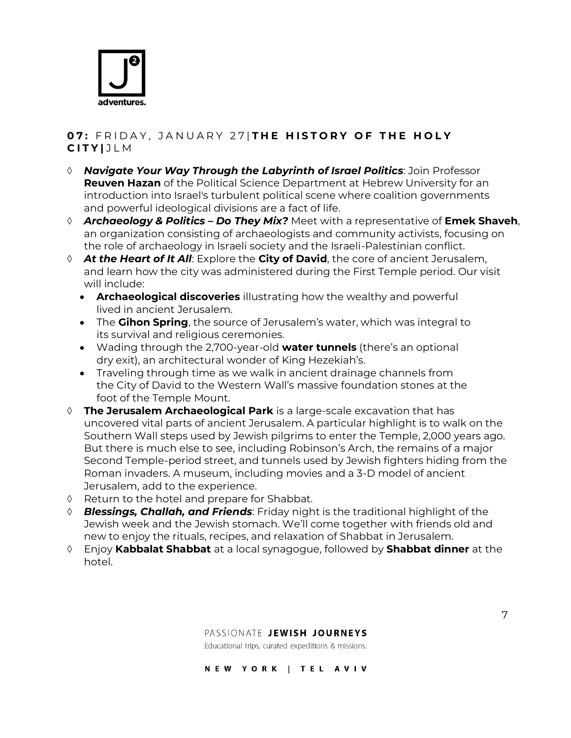

### **0 7 :** F R I D A Y , J A N U A R Y 2 7 | **T H E H I S T O R Y O F T H E H O L Y C I T Y |** J L M

- *Navigate Your Way Through the Labyrinth of Israel Politics*: Join Professor **Reuven Hazan** of the Political Science Department at Hebrew University for an introduction into Israel's turbulent political scene where coalition governments and powerful ideological divisions are a fact of life.
- *Archaeology & Politics – Do They Mix?* Meet with a representative of **Emek Shaveh**, an organization consisting of archaeologists and community activists, focusing on the role of archaeology in Israeli society and the Israeli-Palestinian conflict.
- *At the Heart of It All*: Explore the **City of David**, the core of ancient Jerusalem, and learn how the city was administered during the First Temple period. Our visit will include:
	- **Archaeological discoveries** illustrating how the wealthy and powerful lived in ancient Jerusalem.
	- The **Gihon Spring**, the source of Jerusalem's water, which was integral to its survival and religious ceremonies.
	- Wading through the 2,700-year-old **water tunnels** (there's an optional dry exit), an architectural wonder of King Hezekiah's.
	- Traveling through time as we walk in ancient drainage channels from the City of David to the Western Wall's massive foundation stones at the foot of the Temple Mount.
- **The Jerusalem Archaeological Park** is a large-scale excavation that has uncovered vital parts of ancient Jerusalem. A particular highlight is to walk on the Southern Wall steps used by Jewish pilgrims to enter the Temple, 2,000 years ago. But there is much else to see, including Robinson's Arch, the remains of a major Second Temple-period street, and tunnels used by Jewish fighters hiding from the Roman invaders. A museum, including movies and a 3-D model of ancient Jerusalem, add to the experience.
- $\Diamond$  Return to the hotel and prepare for Shabbat.
- *Blessings, Challah, and Friends*: Friday night is the traditional highlight of the Jewish week and the Jewish stomach. We'll come together with friends old and new to enjoy the rituals, recipes, and relaxation of Shabbat in Jerusalem.
- Enjoy **Kabbalat Shabbat** at a local synagogue, followed by **Shabbat dinner** at the hotel.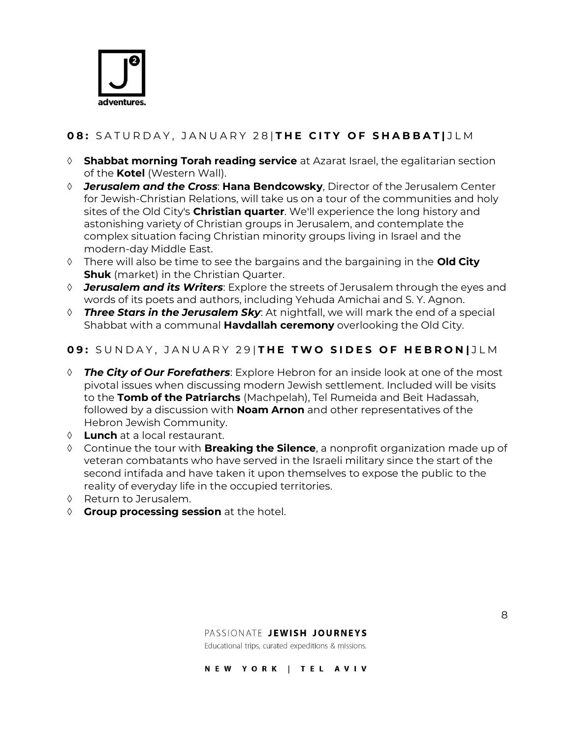

## **0 8 :** S A T U R D A Y , J A N U A R Y 2 8 | **T H E C I T Y O F S H A B B A T |** J L M

- **Shabbat morning Torah reading service** at Azarat Israel, the egalitarian section of the **Kotel** (Western Wall).
- *Jerusalem and the Cross*: **Hana Bendcowsky**, Director of the Jerusalem Center for Jewish-Christian Relations, will take us on a tour of the communities and holy sites of the Old City's **Christian quarter**. We'll experience the long history and astonishing variety of Christian groups in Jerusalem, and contemplate the complex situation facing Christian minority groups living in Israel and the modern-day Middle East.
- There will also be time to see the bargains and the bargaining in the **Old City Shuk** (market) in the Christian Quarter.
- *Jerusalem and its Writers*: Explore the streets of Jerusalem through the eyes and words of its poets and authors, including Yehuda Amichai and S. Y. Agnon.
- *Three Stars in the Jerusalem Sky*: At nightfall, we will mark the end of a special Shabbat with a communal **Havdallah ceremony** overlooking the Old City.

#### **0 9 :** S U N D A Y , J A N U A R Y 2 9 | **T H E T W O S I D E S O F H E B R O N |** J L M

- *The City of Our Forefathers*: Explore Hebron for an inside look at one of the most pivotal issues when discussing modern Jewish settlement. Included will be visits to the **Tomb of the Patriarchs** (Machpelah), Tel Rumeida and Beit Hadassah, followed by a discussion with **Noam Arnon** and other representatives of the Hebron Jewish Community.
- **Lunch** at a local restaurant.
- Continue the tour with **Breaking the Silence**, a nonprofit organization made up of veteran combatants who have served in the Israeli military since the start of the second intifada and have taken it upon themselves to expose the public to the reality of everyday life in the occupied territories.
- ♦ Return to Jerusalem.
- **Group processing session** at the hotel.

#### PASSIONATE JEWISH JOURNEYS

Educational trips, curated expeditions & missions.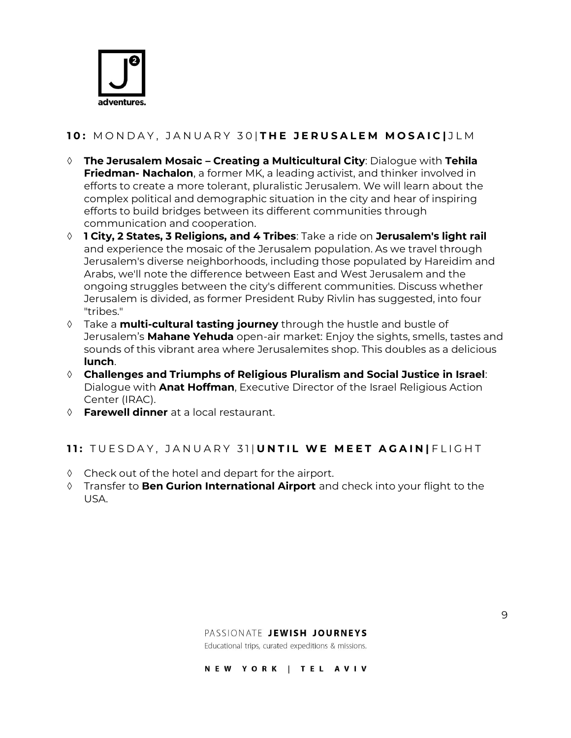

## **1 0 :** M O N D A Y , J A N U A R Y 3 0 | **T H E J E R U S A L E M M O S A I C |** J L M

- **The Jerusalem Mosaic – Creating a Multicultural City**: Dialogue with **Tehila Friedman- Nachalon**, a former MK, a leading activist, and thinker involved in efforts to create a more tolerant, pluralistic Jerusalem. We will learn about the complex political and demographic situation in the city and hear of inspiring efforts to build bridges between its different communities through communication and cooperation.
- **1 City, 2 States, 3 Religions, and 4 Tribes**: Take a ride on **Jerusalem's light rail**  and experience the mosaic of the Jerusalem population. As we travel through Jerusalem's diverse neighborhoods, including those populated by Hareidim and Arabs, we'll note the difference between East and West Jerusalem and the ongoing struggles between the city's different communities. Discuss whether Jerusalem is divided, as former President Ruby Rivlin has suggested, into four "tribes."
- Take a **multi-cultural tasting journey** through the hustle and bustle of Jerusalem's **Mahane Yehuda** open-air market: Enjoy the sights, smells, tastes and sounds of this vibrant area where Jerusalemites shop. This doubles as a delicious **lunch**.
- **Challenges and Triumphs of Religious Pluralism and Social Justice in Israel**: Dialogue with **Anat Hoffman**, Executive Director of the Israel Religious Action Center (IRAC).
- **Farewell dinner** at a local restaurant.

#### **11:** TUESDAY, JANUARY 31| UNTIL WE MEET AGAIN FLIGHT

- Check out of the hotel and depart for the airport.
- Transfer to **Ben Gurion International Airport** and check into your flight to the USA.

#### PASSIONATE JEWISH JOURNEYS

Educational trips, curated expeditions & missions.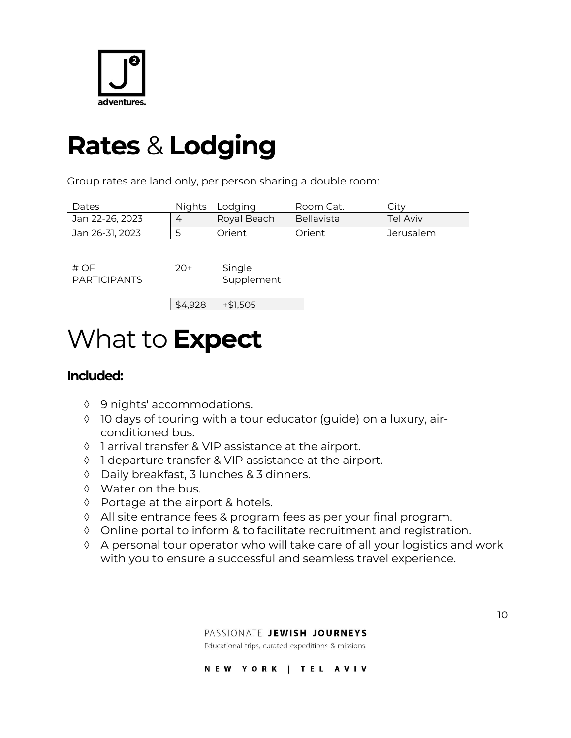

## **Rates** & **Lodging**

Group rates are land only, per person sharing a double room:

| Dates                       | <b>Nights</b> | Lodging              | Room Cat.  | City            |
|-----------------------------|---------------|----------------------|------------|-----------------|
| Jan 22-26, 2023             | 4             | Royal Beach          | Bellavista | <b>Tel Aviv</b> |
| Jan 26-31, 2023             | 5             | Orient               | Orient     | Jerusalem       |
|                             |               |                      |            |                 |
| # OF<br><b>PARTICIPANTS</b> | $20+$         | Single<br>Supplement |            |                 |
|                             |               |                      |            |                 |
|                             | \$4,928       | $+ $1,505$           |            |                 |

## What to **Expect**

## **Included:**

- ♦ 9 nights' accommodations.
- 10 days of touring with a tour educator (guide) on a luxury, airconditioned bus.
- 1 arrival transfer & VIP assistance at the airport.
- ↑ 1 departure transfer & VIP assistance at the airport.
- Daily breakfast, 3 lunches & 3 dinners.
- Water on the bus.
- ♦ Portage at the airport & hotels.
- All site entrance fees & program fees as per your final program.
- Online portal to inform & to facilitate recruitment and registration.
- A personal tour operator who will take care of all your logistics and work with you to ensure a successful and seamless travel experience.

Educational trips, curated expeditions & missions.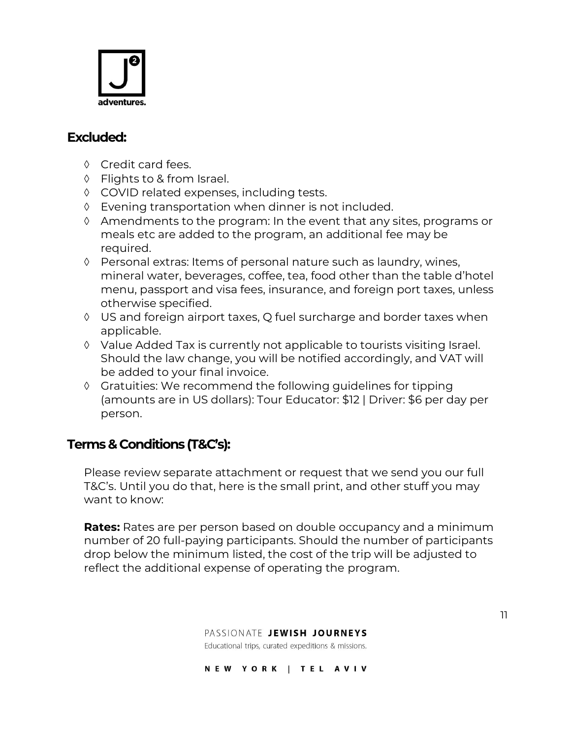

## **Excluded:**

- ♦ Credit card fees.
- Flights to & from Israel.
- COVID related expenses, including tests.
- Evening transportation when dinner is not included.
- $\Diamond$  Amendments to the program: In the event that any sites, programs or meals etc are added to the program, an additional fee may be required.
- Personal extras: Items of personal nature such as laundry, wines, mineral water, beverages, coffee, tea, food other than the table d'hotel menu, passport and visa fees, insurance, and foreign port taxes, unless otherwise specified.
- US and foreign airport taxes, Q fuel surcharge and border taxes when applicable.
- Value Added Tax is currently not applicable to tourists visiting Israel. Should the law change, you will be notified accordingly, and VAT will be added to your final invoice.
- $\Diamond$  Gratuities: We recommend the following guidelines for tipping (amounts are in US dollars): Tour Educator: \$12 | Driver: \$6 per day per person.

## **Terms & Conditions (T&C's):**

Please review separate attachment or request that we send you our full T&C's. Until you do that, here is the small print, and other stuff you may want to know:

**Rates:** Rates are per person based on double occupancy and a minimum number of 20 full-paying participants. Should the number of participants drop below the minimum listed, the cost of the trip will be adjusted to reflect the additional expense of operating the program.

> PASSIONATE JEWISH JOURNEYS Educational trips, curated expeditions & missions.